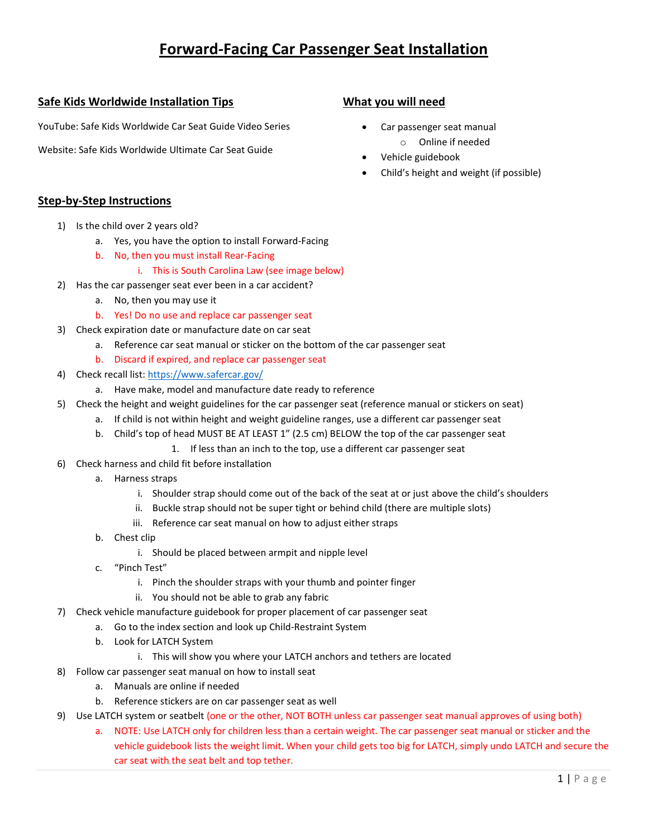# **Forward-Facing Car Passenger Seat Installation**

## **Safe Kids Worldwide Installation Tips**

YouTube: Safe Kids Worldwide Car Seat Guide Video Series

Website: Safe Kids Worldwide Ultimate Car Seat Guide

## **What you will need**

- Car passenger seat manual o Online if needed
- Vehicle guidebook
- Child's height and weight (if possible)

#### **Step-by-Step Instructions**

- 1) Is the child over 2 years old?
	- a. Yes, you have the option to install Forward-Facing
	- b. No, then you must install Rear-Facing
		- i. This is South Carolina Law (see image below)
- 2) Has the car passenger seat ever been in a car accident?
	- a. No, then you may use it
	- b. Yes! Do no use and replace car passenger seat
- 3) Check expiration date or manufacture date on car seat
	- a. Reference car seat manual or sticker on the bottom of the car passenger seat
	- b. Discard if expired, and replace car passenger seat
- 4) Check recall list[: https://www.safercar.gov/](https://www.safercar.gov/)
	- a. Have make, model and manufacture date ready to reference
- 5) Check the height and weight guidelines for the car passenger seat (reference manual or stickers on seat)
	- a. If child is not within height and weight guideline ranges, use a different car passenger seat
	- b. Child's top of head MUST BE AT LEAST 1" (2.5 cm) BELOW the top of the car passenger seat
		- 1. If less than an inch to the top, use a different car passenger seat
- 6) Check harness and child fit before installation
	- a. Harness straps
		- i. Shoulder strap should come out of the back of the seat at or just above the child's shoulders
		- ii. Buckle strap should not be super tight or behind child (there are multiple slots)
		- iii. Reference car seat manual on how to adjust either straps
	- b. Chest clip
		- i. Should be placed between armpit and nipple level
	- c. "Pinch Test"
		- i. Pinch the shoulder straps with your thumb and pointer finger
		- ii. You should not be able to grab any fabric
- 7) Check vehicle manufacture guidebook for proper placement of car passenger seat
	- a. Go to the index section and look up Child-Restraint System
	- b. Look for LATCH System
		- i. This will show you where your LATCH anchors and tethers are located
- 8) Follow car passenger seat manual on how to install seat
	- a. Manuals are online if needed
	- b. Reference stickers are on car passenger seat as well
- 9) Use LATCH system or seatbelt (one or the other, NOT BOTH unless car passenger seat manual approves of using both)
	- a. NOTE: Use LATCH only for children less than a certain weight. The car passenger seat manual or sticker and the vehicle guidebook lists the weight limit. When your child gets too big for LATCH, simply undo LATCH and secure the car seat with the seat belt and top tether.